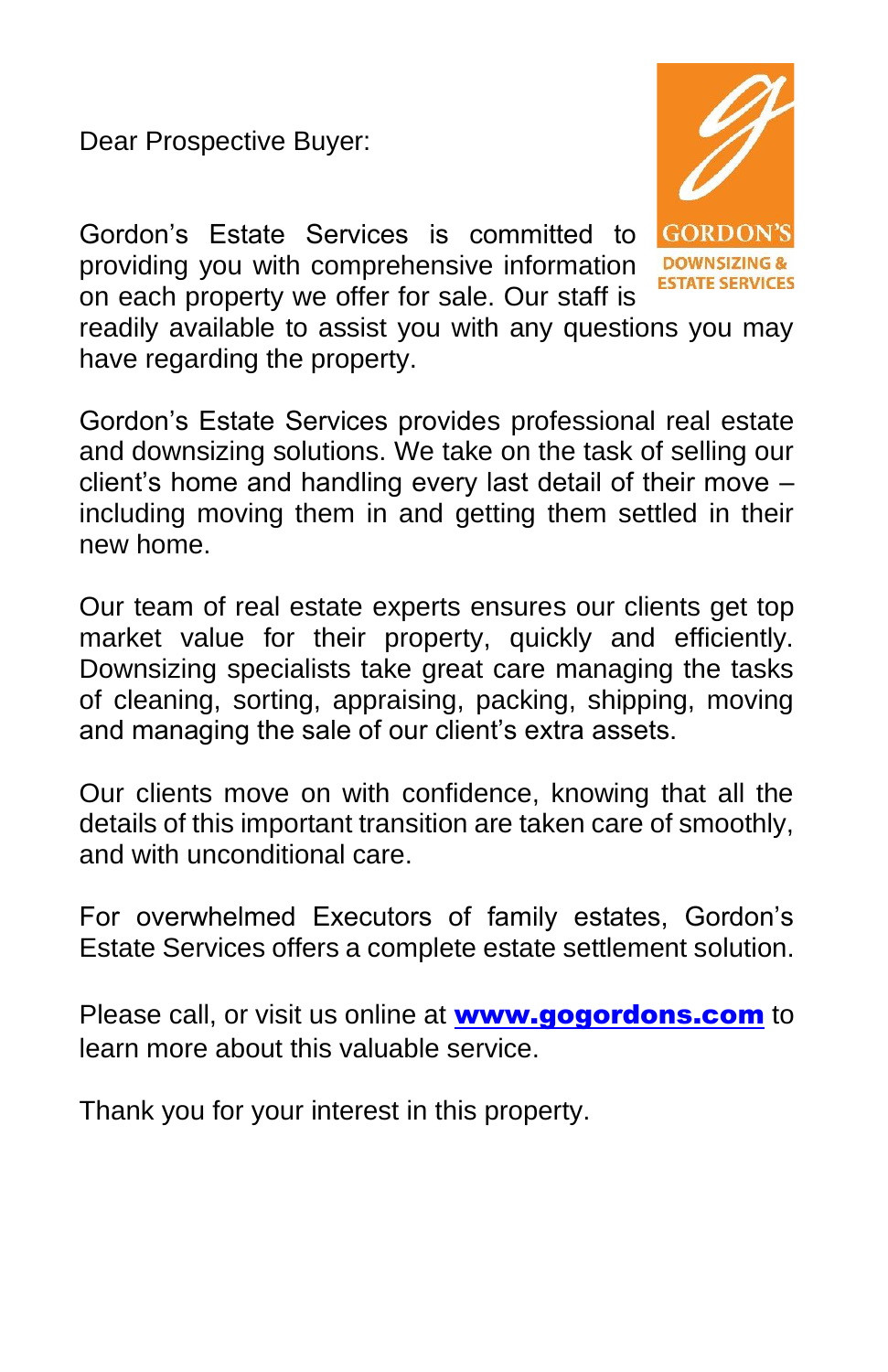Dear Prospective Buyer:

Gordon's Estate Services is committed to providing you with comprehensive information on each property we offer for sale. Our staff is

**GORDO!** TATE SERVICES

readily available to assist you with any questions you may have regarding the property.

Gordon's Estate Services provides professional real estate and downsizing solutions. We take on the task of selling our client's home and handling every last detail of their move – including moving them in and getting them settled in their new home.

Our team of real estate experts ensures our clients get top market value for their property, quickly and efficiently. Downsizing specialists take great care managing the tasks of cleaning, sorting, appraising, packing, shipping, moving and managing the sale of our client's extra assets.

Our clients move on with confidence, knowing that all the details of this important transition are taken care of smoothly, and with unconditional care.

For overwhelmed Executors of family estates, Gordon's Estate Services offers a complete estate settlement solution.

Please call, or visit us online at **[www.gogordons.com](http://www.gogordons.com/)** to learn more about this valuable service.

Thank you for your interest in this property.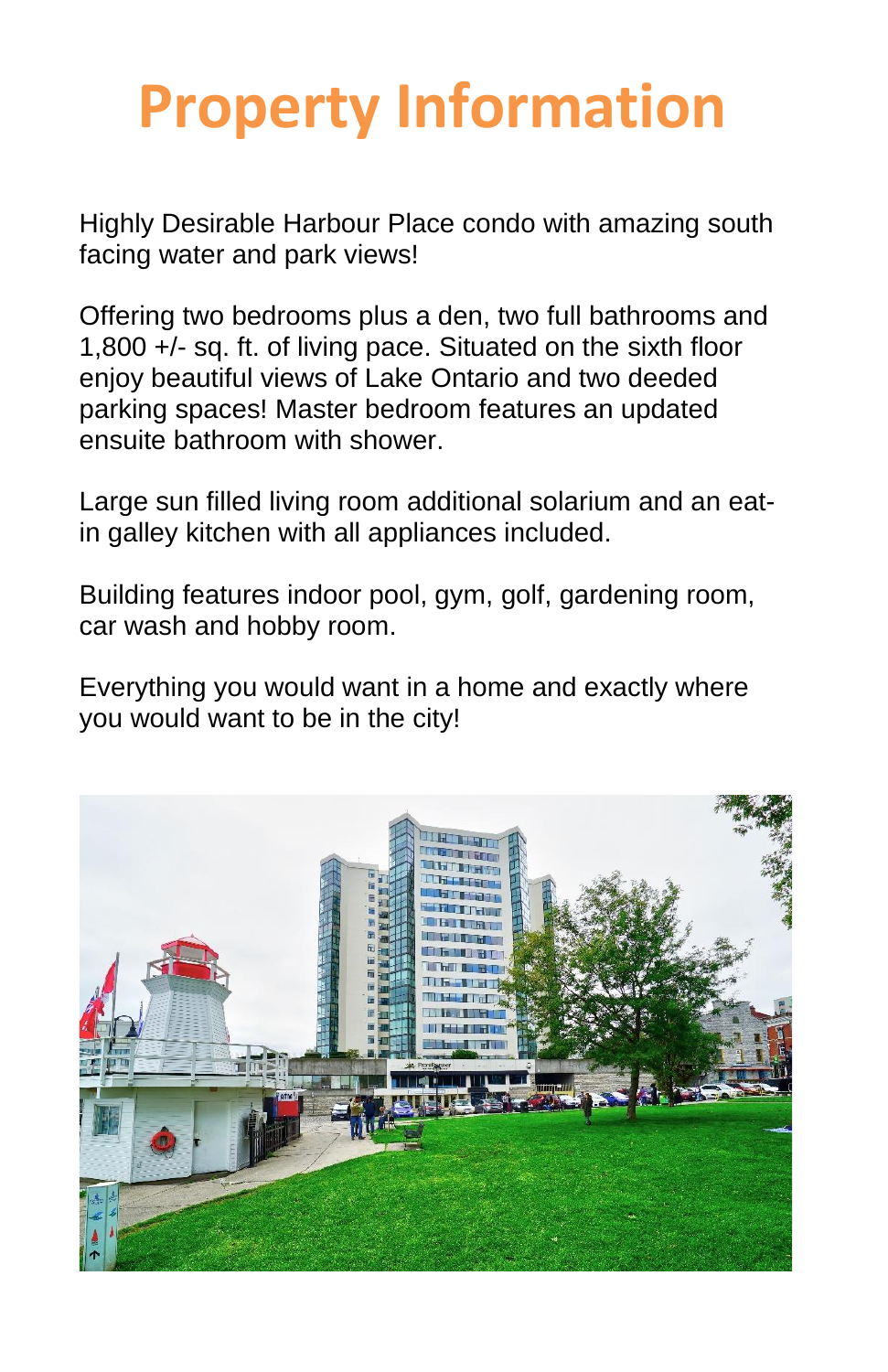## **Property Information**

Highly Desirable Harbour Place condo with amazing south facing water and park views!

Offering two bedrooms plus a den, two full bathrooms and 1,800 +/- sq. ft. of living pace. Situated on the sixth floor enjoy beautiful views of Lake Ontario and two deeded parking spaces! Master bedroom features an updated ensuite bathroom with shower.

Large sun filled living room additional solarium and an eatin galley kitchen with all appliances included.

Building features indoor pool, gym, golf, gardening room, car wash and hobby room.

Everything you would want in a home and exactly where you would want to be in the city!